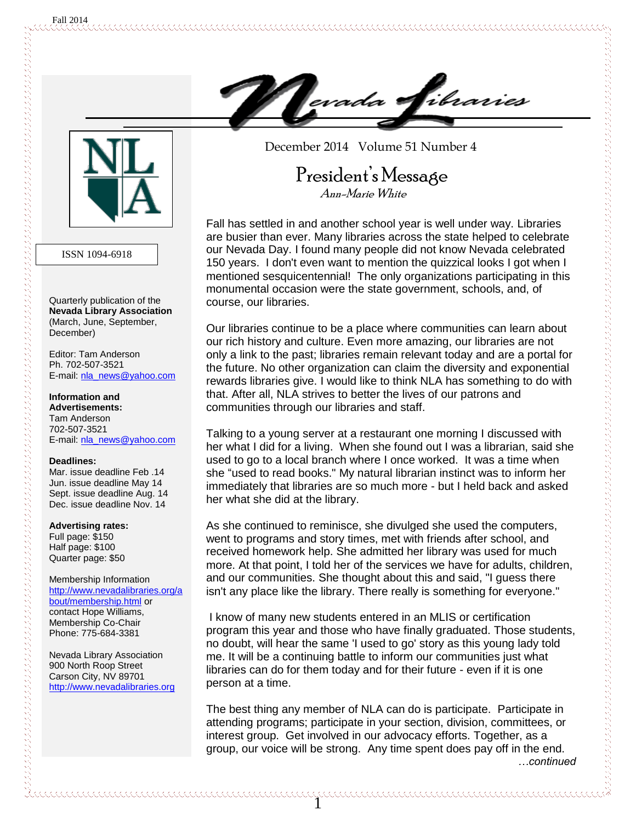

ISSN 1094-6918

Quarterly publication of the **Nevada Library Association** (March, June, September, December)

Editor: Tam Anderson Ph. 702-507-3521 E-mail: nla\_news@yahoo.com

**Information and Advertisements:** Tam Anderson 702-507-3521 E-mail: [nla\\_news@yahoo.com](mailto:nla_news@yahoo.com)

#### **Deadlines:**

Mar. issue deadline Feb .14 Jun. issue deadline May 14 Sept. issue deadline Aug. 14 Dec. issue deadline Nov. 14

#### **Advertising rates:**

Full page: \$150 Half page: \$100 Quarter page: \$50

Membership Information [http://www.nevadalibraries.org/a](http://www.nevadalibraries.org/about/membership.html) [bout/membership.html](http://www.nevadalibraries.org/about/membership.html) or contact Hope Williams, Membership Co-Chair Phone: 775-684-3381

Nevada Library Association 900 North Roop Street Carson City, NV 89701 [http://www.nevadalibraries.org](http://www.nevadalibraries.org/) December 2014 Volume 51 Number 4

### President's Message Ann-Marie White

Fall has settled in and another school year is well under way. Libraries are busier than ever. Many libraries across the state helped to celebrate our Nevada Day. I found many people did not know Nevada celebrated 150 years. I don't even want to mention the quizzical looks I got when I mentioned sesquicentennial! The only organizations participating in this monumental occasion were the state government, schools, and, of course, our libraries.

Our libraries continue to be a place where communities can learn about our rich history and culture. Even more amazing, our libraries are not only a link to the past; libraries remain relevant today and are a portal for the future. No other organization can claim the diversity and exponential rewards libraries give. I would like to think NLA has something to do with that. After all, NLA strives to better the lives of our patrons and communities through our libraries and staff.

Talking to a young server at a restaurant one morning I discussed with her what I did for a living. When she found out I was a librarian, said she used to go to a local branch where I once worked. It was a time when she "used to read books." My natural librarian instinct was to inform her immediately that libraries are so much more - but I held back and asked her what she did at the library.

As she continued to reminisce, she divulged she used the computers, went to programs and story times, met with friends after school, and received homework help. She admitted her library was used for much more. At that point, I told her of the services we have for adults, children, and our communities. She thought about this and said, "I guess there isn't any place like the library. There really is something for everyone."

I know of many new students entered in an MLIS or certification program this year and those who have finally graduated. Those students, no doubt, will hear the same 'I used to go' story as this young lady told me. It will be a continuing battle to inform our communities just what libraries can do for them today and for their future - even if it is one person at a time.

The best thing any member of NLA can do is participate. Participate in attending programs; participate in your section, division, committees, or interest group. Get involved in our advocacy efforts. Together, as a group, our voice will be strong. Any time spent does pay off in the end. *…continued*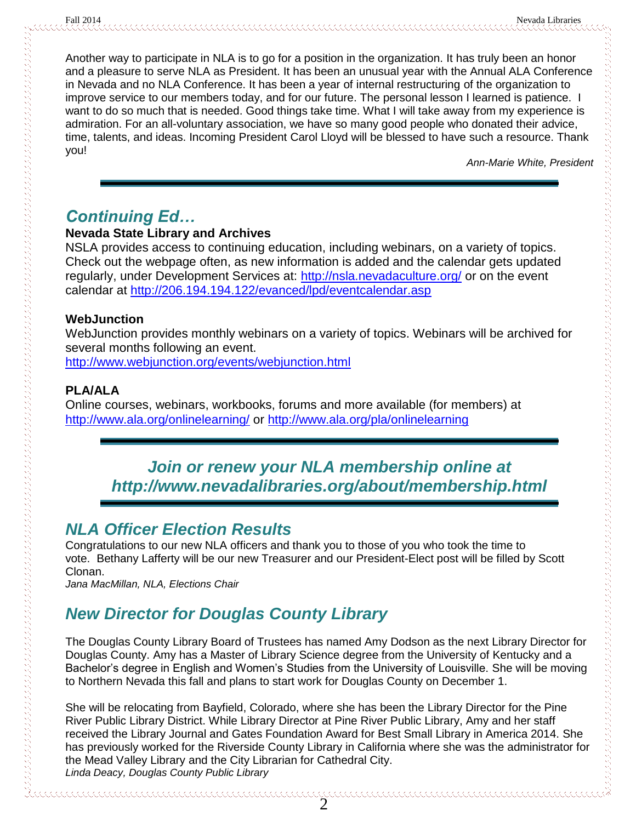Another way to participate in NLA is to go for a position in the organization. It has truly been an honor and a pleasure to serve NLA as President. It has been an unusual year with the Annual ALA Conference in Nevada and no NLA Conference. It has been a year of internal restructuring of the organization to improve service to our members today, and for our future. The personal lesson I learned is patience. I want to do so much that is needed. Good things take time. What I will take away from my experience is admiration. For an all-voluntary association, we have so many good people who donated their advice, time, talents, and ideas. Incoming President Carol Lloyd will be blessed to have such a resource. Thank you!

*Ann-Marie White, President*

## *Continuing Ed…*

### **Nevada State Library and Archives**

NSLA provides access to continuing education, including webinars, on a variety of topics. Check out the webpage often, as new information is added and the calendar gets updated regularly, under Development Services at:<http://nsla.nevadaculture.org/> or on the event calendar at<http://206.194.194.122/evanced/lpd/eventcalendar.asp>

### **WebJunction**

WebJunction provides monthly webinars on a variety of topics. Webinars will be archived for several months following an event.

<http://www.webjunction.org/events/webjunction.html>

### **PLA/ALA**

Online courses, webinars, workbooks, forums and more available (for members) at <http://www.ala.org/onlinelearning/> or<http://www.ala.org/pla/onlinelearning>

## *Join or renew your NLA membership online at http://www.nevadalibraries.org/about/membership.html*

## *NLA Officer Election Results*

Congratulations to our new NLA officers and thank you to those of you who took the time to vote. Bethany Lafferty will be our new Treasurer and our President-Elect post will be filled by Scott Clonan.

*Jana MacMillan, NLA, Elections Chair*

## *New Director for Douglas County Library*

The Douglas County Library Board of Trustees has named Amy Dodson as the next Library Director for Douglas County. Amy has a Master of Library Science degree from the University of Kentucky and a Bachelor's degree in English and Women's Studies from the University of Louisville. She will be moving to Northern Nevada this fall and plans to start work for Douglas County on December 1.

She will be relocating from Bayfield, Colorado, where she has been the Library Director for the Pine River Public Library District. While Library Director at Pine River Public Library, Amy and her staff received the Library Journal and Gates Foundation Award for Best Small Library in America 2014. She has previously worked for the Riverside County Library in California where she was the administrator for the Mead Valley Library and the City Librarian for Cathedral City. *Linda Deacy, Douglas County Public Library*

2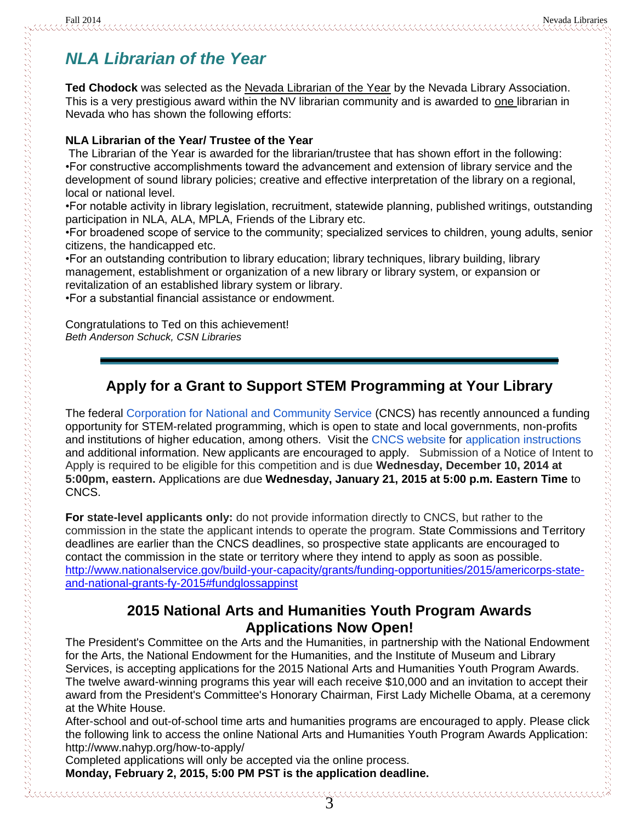## *NLA Librarian of the Year*

Ted Chodock was selected as the Nevada Librarian of the Year by the Nevada Library Association. This is a very prestigious award within the NV librarian community and is awarded to one librarian in Nevada who has shown the following efforts:

#### **NLA Librarian of the Year/ Trustee of the Year**

The Librarian of the Year is awarded for the librarian/trustee that has shown effort in the following: •For constructive accomplishments toward the advancement and extension of library service and the development of sound library policies; creative and effective interpretation of the library on a regional, local or national level.

•For notable activity in library legislation, recruitment, statewide planning, published writings, outstanding participation in NLA, ALA, MPLA, Friends of the Library etc.

•For broadened scope of service to the community; specialized services to children, young adults, senior citizens, the handicapped etc.

•For an outstanding contribution to library education; library techniques, library building, library management, establishment or organization of a new library or library system, or expansion or revitalization of an established library system or library.

•For a substantial financial assistance or endowment.

Congratulations to Ted on this achievement! *Beth Anderson Schuck, CSN Libraries*

### **Apply for a Grant to Support STEM Programming at Your Library**

The federal [Corporation for National and Community Service](http://www.nationalservice.gov/) (CNCS) has recently announced a funding opportunity for STEM-related programming, which is open to state and local governments, non-profits and institutions of higher education, among others. Visit the [CNCS website](http://www.nationalservice.gov/build-your-capacity/grants/funding-opportunities/2015/americorps-state-and-national-grants-fy-2015#fundglossappinst) for [application instructions](http://www.nationalservice.gov/sites/default/files/documents/2015_AmeriCorps_State_and_National_NOFO_Application_Instructions_FINAL.pdf) and additional information. New applicants are encouraged to apply. Submission of a Notice of Intent to Apply is required to be eligible for this competition and is due **Wednesday, December 10, 2014 at 5:00pm, eastern.** Applications are due **Wednesday, January 21, 2015 at 5:00 p.m. Eastern Time** to CNCS.

**For state-level applicants only:** do not provide information directly to CNCS, but rather to the commission in the state the applicant intends to operate the program. State Commissions and Territory deadlines are earlier than the CNCS deadlines, so prospective state applicants are encouraged to contact the commission in the state or territory where they intend to apply as soon as possible. [http://www.nationalservice.gov/build-your-capacity/grants/funding-opportunities/2015/americorps-state](http://www.nationalservice.gov/build-your-capacity/grants/funding-opportunities/2015/americorps-state-and-national-grants-fy-2015#fundglossappinst)[and-national-grants-fy-2015#fundglossappinst](http://www.nationalservice.gov/build-your-capacity/grants/funding-opportunities/2015/americorps-state-and-national-grants-fy-2015#fundglossappinst)

### **2015 National Arts and Humanities Youth Program Awards Applications Now Open!**

The President's Committee on the Arts and the Humanities, in partnership with the National Endowment for the Arts, the National Endowment for the Humanities, and the Institute of Museum and Library Services, is accepting applications for the 2015 National Arts and Humanities Youth Program Awards. The twelve award-winning programs this year will each receive \$10,000 and an invitation to accept their award from the President's Committee's Honorary Chairman, First Lady Michelle Obama, at a ceremony at the White House.

After-school and out-of-school time arts and humanities programs are encouraged to apply. Please click the following link to access the online National Arts and Humanities Youth Program Awards Application: http://www.nahyp.org/how-to-apply/

Completed applications will only be accepted via the online process. **Monday, February 2, 2015, 5:00 PM PST is the application deadline.**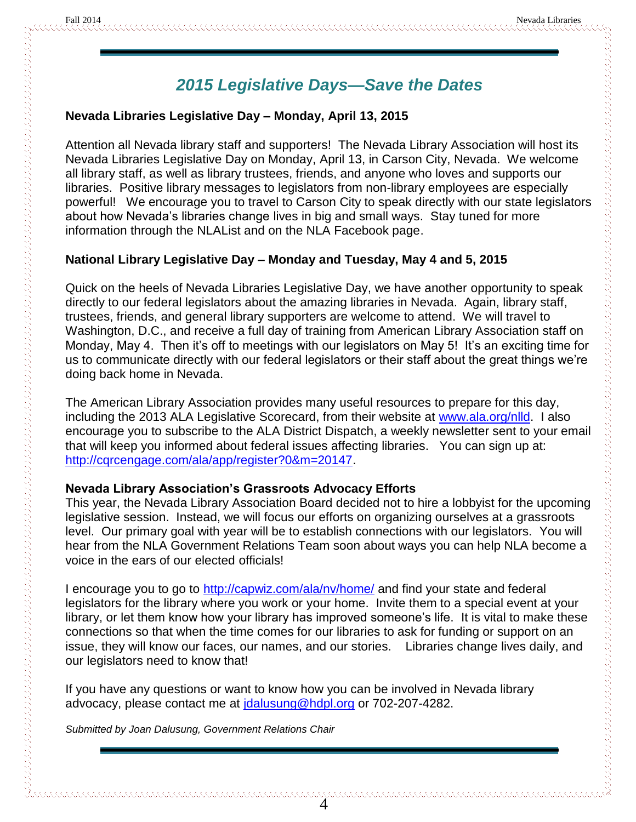## *2015 Legislative Days—Save the Dates*

#### **Nevada Libraries Legislative Day – Monday, April 13, 2015**

Attention all Nevada library staff and supporters! The Nevada Library Association will host its Nevada Libraries Legislative Day on Monday, April 13, in Carson City, Nevada. We welcome all library staff, as well as library trustees, friends, and anyone who loves and supports our libraries. Positive library messages to legislators from non-library employees are especially powerful! We encourage you to travel to Carson City to speak directly with our state legislators about how Nevada's libraries change lives in big and small ways. Stay tuned for more information through the NLAList and on the NLA Facebook page.

### **National Library Legislative Day – Monday and Tuesday, May 4 and 5, 2015**

Quick on the heels of Nevada Libraries Legislative Day, we have another opportunity to speak directly to our federal legislators about the amazing libraries in Nevada. Again, library staff, trustees, friends, and general library supporters are welcome to attend. We will travel to Washington, D.C., and receive a full day of training from American Library Association staff on Monday, May 4. Then it's off to meetings with our legislators on May 5! It's an exciting time for us to communicate directly with our federal legislators or their staff about the great things we're doing back home in Nevada.

The American Library Association provides many useful resources to prepare for this day, including the 2013 ALA Legislative Scorecard, from their website at [www.ala.org/nlld.](http://www.ala.org/nlld) I also encourage you to subscribe to the ALA District Dispatch, a weekly newsletter sent to your email that will keep you informed about federal issues affecting libraries. You can sign up at: [http://cqrcengage.com/ala/app/register?0&m=20147.](http://cqrcengage.com/ala/app/register?0&m=20147)

### **Nevada Library Association's Grassroots Advocacy Efforts**

This year, the Nevada Library Association Board decided not to hire a lobbyist for the upcoming legislative session. Instead, we will focus our efforts on organizing ourselves at a grassroots level. Our primary goal with year will be to establish connections with our legislators. You will hear from the NLA Government Relations Team soon about ways you can help NLA become a voice in the ears of our elected officials!

I encourage you to go to<http://capwiz.com/ala/nv/home/> and find your state and federal legislators for the library where you work or your home. Invite them to a special event at your library, or let them know how your library has improved someone's life. It is vital to make these connections so that when the time comes for our libraries to ask for funding or support on an issue, they will know our faces, our names, and our stories. Libraries change lives daily, and our legislators need to know that!

If you have any questions or want to know how you can be involved in Nevada library advocacy, please contact me at *idalusung@hdpl.org* or 702-207-4282.

*Submitted by Joan Dalusung, Government Relations Chair*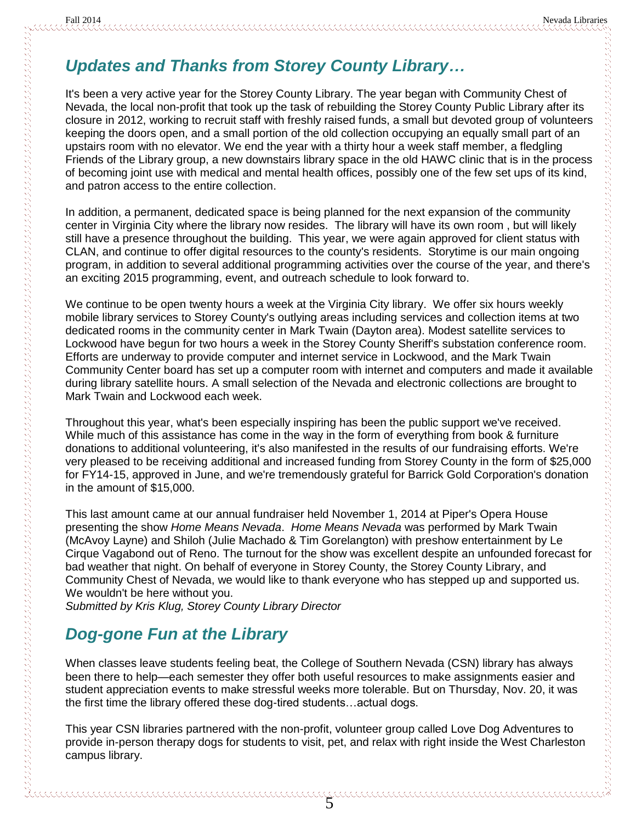## *Updates and Thanks from Storey County Library…*

It's been a very active year for the Storey County Library. The year began with Community Chest of Nevada, the local non-profit that took up the task of rebuilding the Storey County Public Library after its closure in 2012, working to recruit staff with freshly raised funds, a small but devoted group of volunteers keeping the doors open, and a small portion of the old collection occupying an equally small part of an upstairs room with no elevator. We end the year with a thirty hour a week staff member, a fledgling Friends of the Library group, a new downstairs library space in the old HAWC clinic that is in the process of becoming joint use with medical and mental health offices, possibly one of the few set ups of its kind, and patron access to the entire collection.

In addition, a permanent, dedicated space is being planned for the next expansion of the community center in Virginia City where the library now resides. The library will have its own room , but will likely still have a presence throughout the building. This year, we were again approved for client status with CLAN, and continue to offer digital resources to the county's residents. Storytime is our main ongoing program, in addition to several additional programming activities over the course of the year, and there's an exciting 2015 programming, event, and outreach schedule to look forward to.

We continue to be open twenty hours a week at the Virginia City library. We offer six hours weekly mobile library services to Storey County's outlying areas including services and collection items at two dedicated rooms in the community center in Mark Twain (Dayton area). Modest satellite services to Lockwood have begun for two hours a week in the Storey County Sheriff's substation conference room. Efforts are underway to provide computer and internet service in Lockwood, and the Mark Twain Community Center board has set up a computer room with internet and computers and made it available during library satellite hours. A small selection of the Nevada and electronic collections are brought to Mark Twain and Lockwood each week.

Throughout this year, what's been especially inspiring has been the public support we've received. While much of this assistance has come in the way in the form of everything from book & furniture donations to additional volunteering, it's also manifested in the results of our fundraising efforts. We're very pleased to be receiving additional and increased funding from Storey County in the form of \$25,000 for FY14-15, approved in June, and we're tremendously grateful for Barrick Gold Corporation's donation in the amount of \$15,000.

This last amount came at our annual fundraiser held November 1, 2014 at Piper's Opera House presenting the show *Home Means Nevada*. *Home Means Nevada* was performed by Mark Twain (McAvoy Layne) and Shiloh (Julie Machado & Tim Gorelangton) with preshow entertainment by Le Cirque Vagabond out of Reno. The turnout for the show was excellent despite an unfounded forecast for bad weather that night. On behalf of everyone in Storey County, the Storey County Library, and Community Chest of Nevada, we would like to thank everyone who has stepped up and supported us. We wouldn't be here without you.

*Submitted by Kris Klug, Storey County Library Director*

## *Dog-gone Fun at the Library*

When classes leave students feeling beat, the College of Southern Nevada (CSN) library has always been there to help—each semester they offer both useful resources to make assignments easier and student appreciation events to make stressful weeks more tolerable. But on Thursday, Nov. 20, it was the first time the library offered these dog-tired students…actual dogs.

This year CSN libraries partnered with the non-profit, volunteer group called Love Dog Adventures to provide in-person therapy dogs for students to visit, pet, and relax with right inside the West Charleston campus library.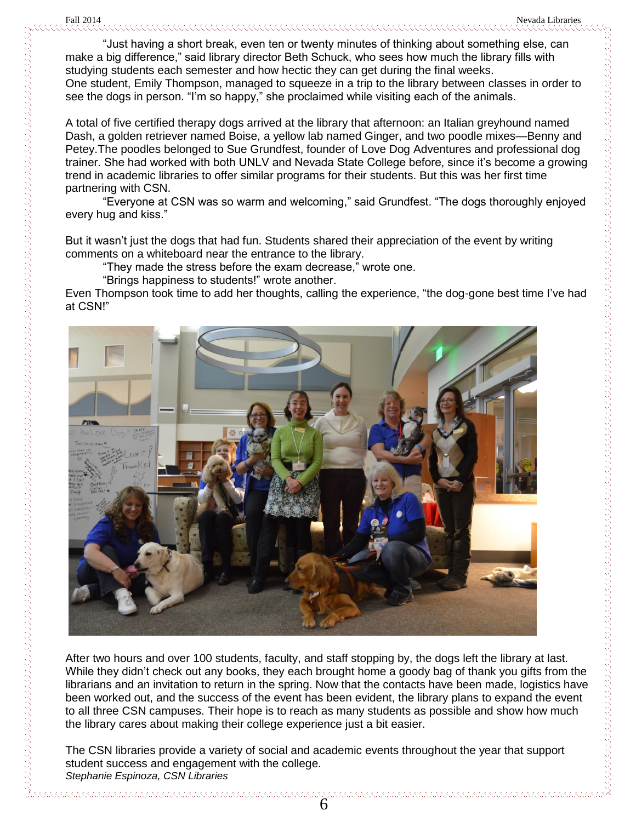"Just having a short break, even ten or twenty minutes of thinking about something else, can make a big difference," said library director Beth Schuck, who sees how much the library fills with studying students each semester and how hectic they can get during the final weeks. One student, Emily Thompson, managed to squeeze in a trip to the library between classes in order to see the dogs in person. "I'm so happy," she proclaimed while visiting each of the animals.

A total of five certified therapy dogs arrived at the library that afternoon: an Italian greyhound named Dash, a golden retriever named Boise, a yellow lab named Ginger, and two poodle mixes—Benny and Petey.The poodles belonged to Sue Grundfest, founder of Love Dog Adventures and professional dog trainer. She had worked with both UNLV and Nevada State College before, since it's become a growing trend in academic libraries to offer similar programs for their students. But this was her first time partnering with CSN.

"Everyone at CSN was so warm and welcoming," said Grundfest. "The dogs thoroughly enjoyed every hug and kiss."

But it wasn't just the dogs that had fun. Students shared their appreciation of the event by writing comments on a whiteboard near the entrance to the library.

"They made the stress before the exam decrease," wrote one.

"Brings happiness to students!" wrote another.

Even Thompson took time to add her thoughts, calling the experience, "the dog-gone best time I've had at CSN!"



After two hours and over 100 students, faculty, and staff stopping by, the dogs left the library at last. While they didn't check out any books, they each brought home a goody bag of thank you gifts from the librarians and an invitation to return in the spring. Now that the contacts have been made, logistics have been worked out, and the success of the event has been evident, the library plans to expand the event to all three CSN campuses. Their hope is to reach as many students as possible and show how much the library cares about making their college experience just a bit easier.

The CSN libraries provide a variety of social and academic events throughout the year that support student success and engagement with the college. *Stephanie Espinoza, CSN Libraries*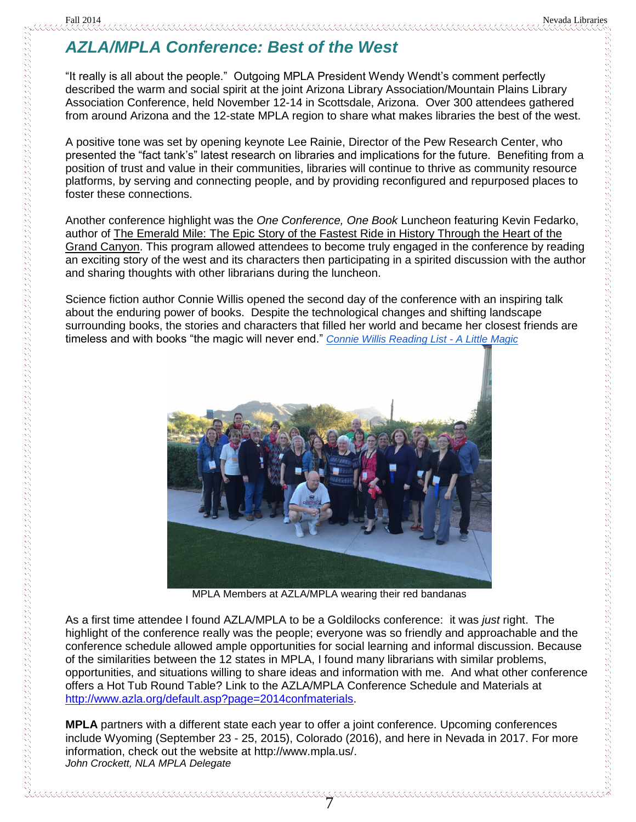# *AZLA/MPLA Conference: Best of the West*

"It really is all about the people." Outgoing MPLA President Wendy Wendt's comment perfectly described the warm and social spirit at the joint Arizona Library Association/Mountain Plains Library Association Conference, held November 12-14 in Scottsdale, Arizona. Over 300 attendees gathered from around Arizona and the 12-state MPLA region to share what makes libraries the best of the west.

A positive tone was set by opening keynote Lee Rainie, Director of the Pew Research Center, who presented the "fact tank's" latest research on libraries and implications for the future. Benefiting from a position of trust and value in their communities, libraries will continue to thrive as community resource platforms, by serving and connecting people, and by providing reconfigured and repurposed places to foster these connections.

Another conference highlight was the *One Conference, One Book* Luncheon featuring Kevin Fedarko, author of The Emerald Mile: The Epic Story of the Fastest Ride in History Through the Heart of the Grand Canyon. This program allowed attendees to become truly engaged in the conference by reading an exciting story of the west and its characters then participating in a spirited discussion with the author and sharing thoughts with other librarians during the luncheon.

Science fiction author Connie Willis opened the second day of the conference with an inspiring talk about the enduring power of books. Despite the technological changes and shifting landscape surrounding books, the stories and characters that filled her world and became her closest friends are timeless and with books "the magic will never end." *[Connie Willis Reading List -](http://c.ymcdn.com/sites/www.azla.org/resource/resmgr/2014_Conf_Materials/Connie_Willis_Reading_List.pdf) A Little Magic*



MPLA Members at AZLA/MPLA wearing their red bandanas

As a first time attendee I found AZLA/MPLA to be a Goldilocks conference: it was *just* right. The highlight of the conference really was the people; everyone was so friendly and approachable and the conference schedule allowed ample opportunities for social learning and informal discussion. Because of the similarities between the 12 states in MPLA, I found many librarians with similar problems, opportunities, and situations willing to share ideas and information with me. And what other conference offers a Hot Tub Round Table? Link to the AZLA/MPLA Conference Schedule and Materials at [http://www.azla.org/default.asp?page=2014confmaterials.](http://www.azla.org/default.asp?page=2014confmaterials)

**MPLA** partners with a different state each year to offer a joint conference. Upcoming conferences include Wyoming (September 23 - 25, 2015), Colorado (2016), and here in Nevada in 2017. For more information, check out the website at http://www.mpla.us/. *John Crockett, NLA MPLA Delegate*